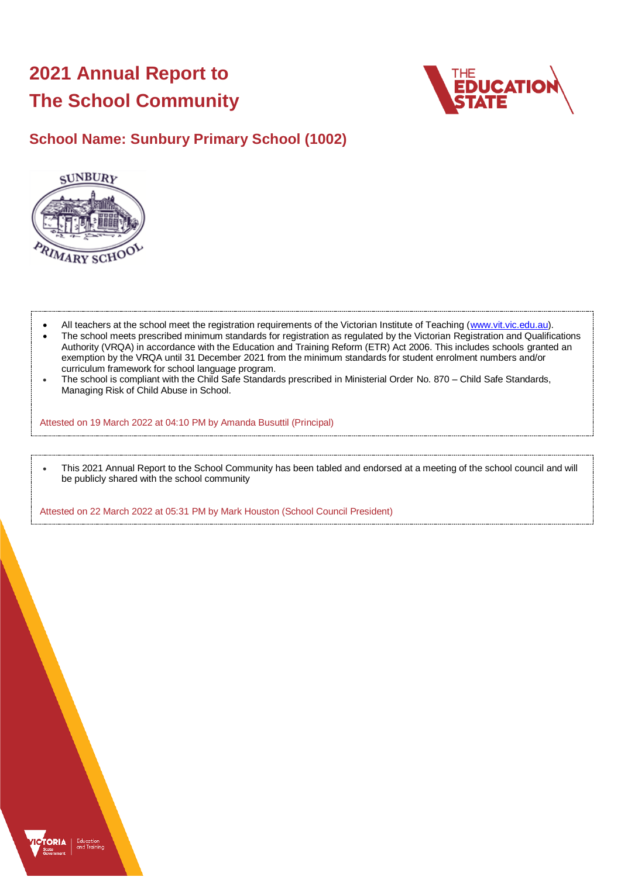# **2021 Annual Report to The School Community**



## **School Name: Sunbury Primary School (1002)**



- All teachers at the school meet the registration requirements of the Victorian Institute of Teaching [\(www.vit.vic.edu.au\)](https://www.vit.vic.edu.au/).
- The school meets prescribed minimum standards for registration as regulated by the Victorian Registration and Qualifications Authority (VRQA) in accordance with the Education and Training Reform (ETR) Act 2006. This includes schools granted an exemption by the VRQA until 31 December 2021 from the minimum standards for student enrolment numbers and/or curriculum framework for school language program.
- The school is compliant with the Child Safe Standards prescribed in Ministerial Order No. 870 Child Safe Standards, Managing Risk of Child Abuse in School.

Attested on 19 March 2022 at 04:10 PM by Amanda Busuttil (Principal)

• This 2021 Annual Report to the School Community has been tabled and endorsed at a meeting of the school council and will be publicly shared with the school community

Attested on 22 March 2022 at 05:31 PM by Mark Houston (School Council President)

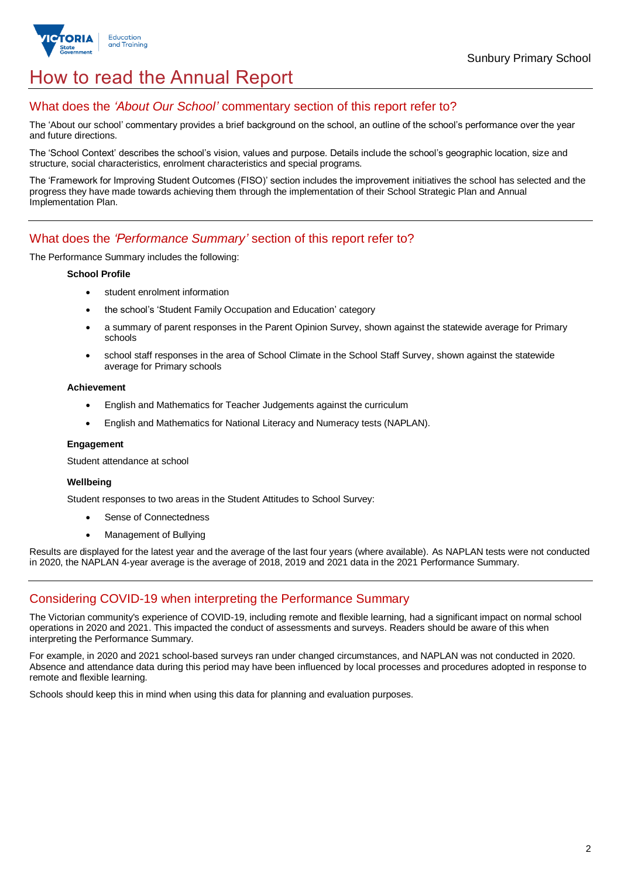

## How to read the Annual Report

## What does the *'About Our School'* commentary section of this report refer to?

The 'About our school' commentary provides a brief background on the school, an outline of the school's performance over the year and future directions.

The 'School Context' describes the school's vision, values and purpose. Details include the school's geographic location, size and structure, social characteristics, enrolment characteristics and special programs.

The 'Framework for Improving Student Outcomes (FISO)' section includes the improvement initiatives the school has selected and the progress they have made towards achieving them through the implementation of their School Strategic Plan and Annual Implementation Plan.

## What does the *'Performance Summary'* section of this report refer to?

The Performance Summary includes the following:

### **School Profile**

- student enrolment information
- the school's 'Student Family Occupation and Education' category
- a summary of parent responses in the Parent Opinion Survey, shown against the statewide average for Primary schools
- school staff responses in the area of School Climate in the School Staff Survey, shown against the statewide average for Primary schools

### **Achievement**

- English and Mathematics for Teacher Judgements against the curriculum
- English and Mathematics for National Literacy and Numeracy tests (NAPLAN).

### **Engagement**

Student attendance at school

### **Wellbeing**

Student responses to two areas in the Student Attitudes to School Survey:

- Sense of Connectedness
- Management of Bullying

Results are displayed for the latest year and the average of the last four years (where available). As NAPLAN tests were not conducted in 2020, the NAPLAN 4-year average is the average of 2018, 2019 and 2021 data in the 2021 Performance Summary.

## Considering COVID-19 when interpreting the Performance Summary

The Victorian community's experience of COVID-19, including remote and flexible learning, had a significant impact on normal school operations in 2020 and 2021. This impacted the conduct of assessments and surveys. Readers should be aware of this when interpreting the Performance Summary.

For example, in 2020 and 2021 school-based surveys ran under changed circumstances, and NAPLAN was not conducted in 2020. Absence and attendance data during this period may have been influenced by local processes and procedures adopted in response to remote and flexible learning.

Schools should keep this in mind when using this data for planning and evaluation purposes.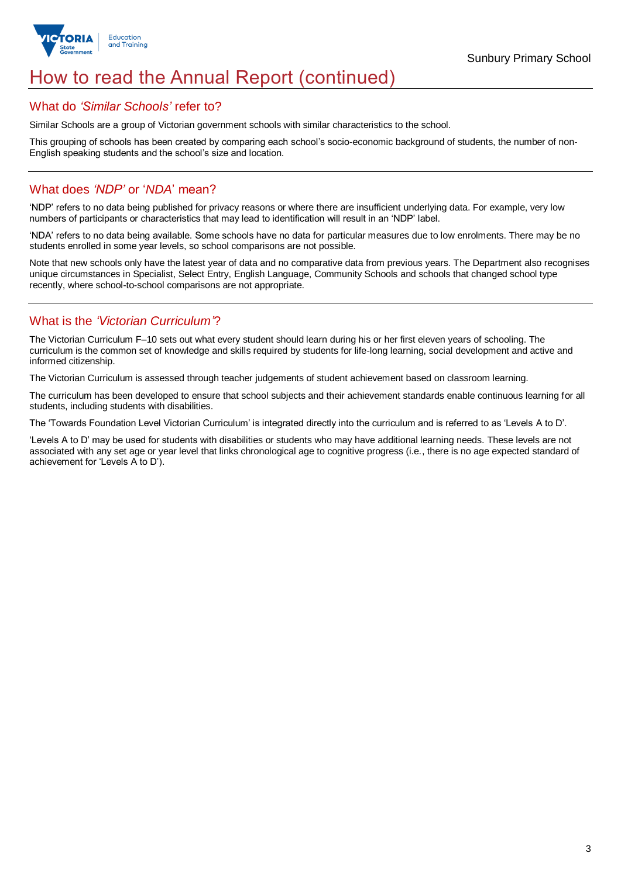

## How to read the Annual Report (continued)

### What do *'Similar Schools'* refer to?

Similar Schools are a group of Victorian government schools with similar characteristics to the school.

This grouping of schools has been created by comparing each school's socio-economic background of students, the number of non-English speaking students and the school's size and location.

## What does *'NDP'* or '*NDA*' mean?

'NDP' refers to no data being published for privacy reasons or where there are insufficient underlying data. For example, very low numbers of participants or characteristics that may lead to identification will result in an 'NDP' label.

'NDA' refers to no data being available. Some schools have no data for particular measures due to low enrolments. There may be no students enrolled in some year levels, so school comparisons are not possible.

Note that new schools only have the latest year of data and no comparative data from previous years. The Department also recognises unique circumstances in Specialist, Select Entry, English Language, Community Schools and schools that changed school type recently, where school-to-school comparisons are not appropriate.

## What is the *'Victorian Curriculum'*?

The Victorian Curriculum F–10 sets out what every student should learn during his or her first eleven years of schooling. The curriculum is the common set of knowledge and skills required by students for life-long learning, social development and active and informed citizenship.

The Victorian Curriculum is assessed through teacher judgements of student achievement based on classroom learning.

The curriculum has been developed to ensure that school subjects and their achievement standards enable continuous learning for all students, including students with disabilities.

The 'Towards Foundation Level Victorian Curriculum' is integrated directly into the curriculum and is referred to as 'Levels A to D'.

'Levels A to D' may be used for students with disabilities or students who may have additional learning needs. These levels are not associated with any set age or year level that links chronological age to cognitive progress (i.e., there is no age expected standard of achievement for 'Levels A to D').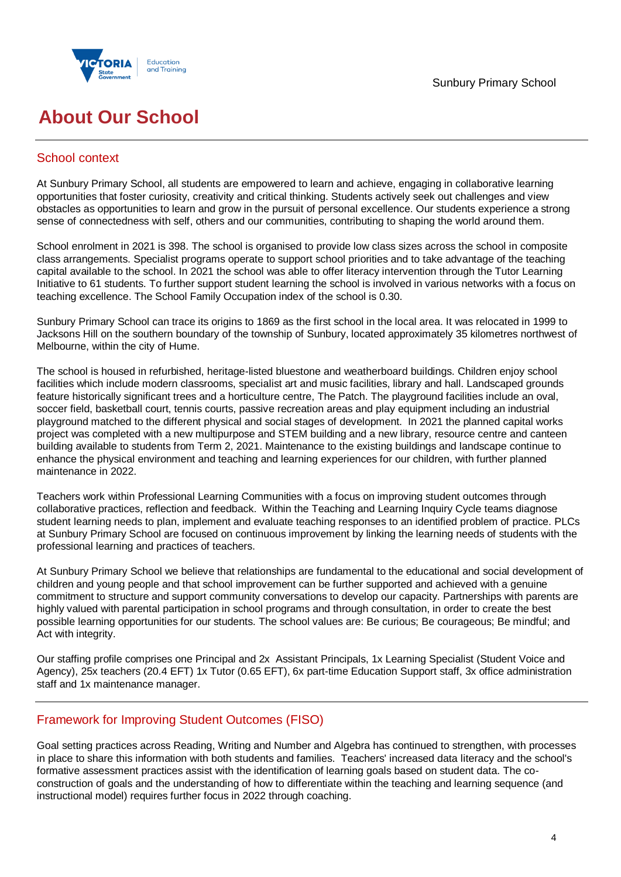

## **About Our School**

## School context

At Sunbury Primary School, all students are empowered to learn and achieve, engaging in collaborative learning opportunities that foster curiosity, creativity and critical thinking. Students actively seek out challenges and view obstacles as opportunities to learn and grow in the pursuit of personal excellence. Our students experience a strong sense of connectedness with self, others and our communities, contributing to shaping the world around them.

School enrolment in 2021 is 398. The school is organised to provide low class sizes across the school in composite class arrangements. Specialist programs operate to support school priorities and to take advantage of the teaching capital available to the school. In 2021 the school was able to offer literacy intervention through the Tutor Learning Initiative to 61 students. To further support student learning the school is involved in various networks with a focus on teaching excellence. The School Family Occupation index of the school is 0.30.

Sunbury Primary School can trace its origins to 1869 as the first school in the local area. It was relocated in 1999 to Jacksons Hill on the southern boundary of the township of Sunbury, located approximately 35 kilometres northwest of Melbourne, within the city of Hume.

The school is housed in refurbished, heritage-listed bluestone and weatherboard buildings. Children enjoy school facilities which include modern classrooms, specialist art and music facilities, library and hall. Landscaped grounds feature historically significant trees and a horticulture centre, The Patch. The playground facilities include an oval, soccer field, basketball court, tennis courts, passive recreation areas and play equipment including an industrial playground matched to the different physical and social stages of development. In 2021 the planned capital works project was completed with a new multipurpose and STEM building and a new library, resource centre and canteen building available to students from Term 2, 2021. Maintenance to the existing buildings and landscape continue to enhance the physical environment and teaching and learning experiences for our children, with further planned maintenance in 2022.

Teachers work within Professional Learning Communities with a focus on improving student outcomes through collaborative practices, reflection and feedback. Within the Teaching and Learning Inquiry Cycle teams diagnose student learning needs to plan, implement and evaluate teaching responses to an identified problem of practice. PLCs at Sunbury Primary School are focused on continuous improvement by linking the learning needs of students with the professional learning and practices of teachers.

At Sunbury Primary School we believe that relationships are fundamental to the educational and social development of children and young people and that school improvement can be further supported and achieved with a genuine commitment to structure and support community conversations to develop our capacity. Partnerships with parents are highly valued with parental participation in school programs and through consultation, in order to create the best possible learning opportunities for our students. The school values are: Be curious; Be courageous; Be mindful; and Act with integrity.

Our staffing profile comprises one Principal and 2x Assistant Principals, 1x Learning Specialist (Student Voice and Agency), 25x teachers (20.4 EFT) 1x Tutor (0.65 EFT), 6x part-time Education Support staff, 3x office administration staff and 1x maintenance manager.

## Framework for Improving Student Outcomes (FISO)

Goal setting practices across Reading, Writing and Number and Algebra has continued to strengthen, with processes in place to share this information with both students and families. Teachers' increased data literacy and the school's formative assessment practices assist with the identification of learning goals based on student data. The coconstruction of goals and the understanding of how to differentiate within the teaching and learning sequence (and instructional model) requires further focus in 2022 through coaching.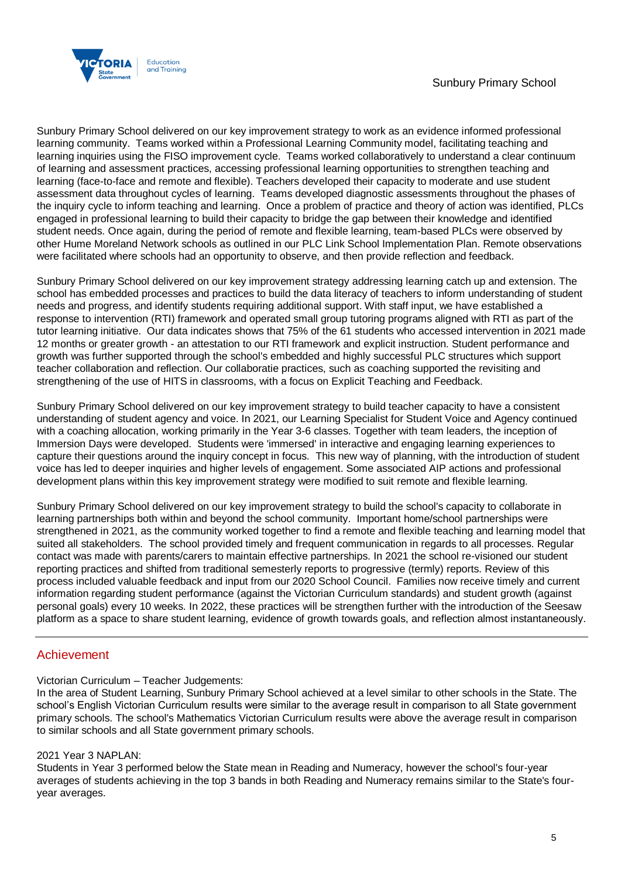

Sunbury Primary School delivered on our key improvement strategy to work as an evidence informed professional learning community. Teams worked within a Professional Learning Community model, facilitating teaching and learning inquiries using the FISO improvement cycle. Teams worked collaboratively to understand a clear continuum of learning and assessment practices, accessing professional learning opportunities to strengthen teaching and learning (face-to-face and remote and flexible). Teachers developed their capacity to moderate and use student assessment data throughout cycles of learning. Teams developed diagnostic assessments throughout the phases of the inquiry cycle to inform teaching and learning. Once a problem of practice and theory of action was identified, PLCs engaged in professional learning to build their capacity to bridge the gap between their knowledge and identified student needs. Once again, during the period of remote and flexible learning, team-based PLCs were observed by other Hume Moreland Network schools as outlined in our PLC Link School Implementation Plan. Remote observations were facilitated where schools had an opportunity to observe, and then provide reflection and feedback.

Sunbury Primary School delivered on our key improvement strategy addressing learning catch up and extension. The school has embedded processes and practices to build the data literacy of teachers to inform understanding of student needs and progress, and identify students requiring additional support. With staff input, we have established a response to intervention (RTI) framework and operated small group tutoring programs aligned with RTI as part of the tutor learning initiative. Our data indicates shows that 75% of the 61 students who accessed intervention in 2021 made 12 months or greater growth - an attestation to our RTI framework and explicit instruction. Student performance and growth was further supported through the school's embedded and highly successful PLC structures which support teacher collaboration and reflection. Our collaboratie practices, such as coaching supported the revisiting and strengthening of the use of HITS in classrooms, with a focus on Explicit Teaching and Feedback.

Sunbury Primary School delivered on our key improvement strategy to build teacher capacity to have a consistent understanding of student agency and voice. In 2021, our Learning Specialist for Student Voice and Agency continued with a coaching allocation, working primarily in the Year 3-6 classes. Together with team leaders, the inception of Immersion Days were developed. Students were 'immersed' in interactive and engaging learning experiences to capture their questions around the inquiry concept in focus. This new way of planning, with the introduction of student voice has led to deeper inquiries and higher levels of engagement. Some associated AIP actions and professional development plans within this key improvement strategy were modified to suit remote and flexible learning.

Sunbury Primary School delivered on our key improvement strategy to build the school's capacity to collaborate in learning partnerships both within and beyond the school community. Important home/school partnerships were strengthened in 2021, as the community worked together to find a remote and flexible teaching and learning model that suited all stakeholders. The school provided timely and frequent communication in regards to all processes. Regular contact was made with parents/carers to maintain effective partnerships. In 2021 the school re-visioned our student reporting practices and shifted from traditional semesterly reports to progressive (termly) reports. Review of this process included valuable feedback and input from our 2020 School Council. Families now receive timely and current information regarding student performance (against the Victorian Curriculum standards) and student growth (against personal goals) every 10 weeks. In 2022, these practices will be strengthen further with the introduction of the Seesaw platform as a space to share student learning, evidence of growth towards goals, and reflection almost instantaneously.

## Achievement

### Victorian Curriculum – Teacher Judgements:

In the area of Student Learning, Sunbury Primary School achieved at a level similar to other schools in the State. The school's English Victorian Curriculum results were similar to the average result in comparison to all State government primary schools. The school's Mathematics Victorian Curriculum results were above the average result in comparison to similar schools and all State government primary schools.

### 2021 Year 3 NAPLAN:

Students in Year 3 performed below the State mean in Reading and Numeracy, however the school's four-year averages of students achieving in the top 3 bands in both Reading and Numeracy remains similar to the State's fouryear averages.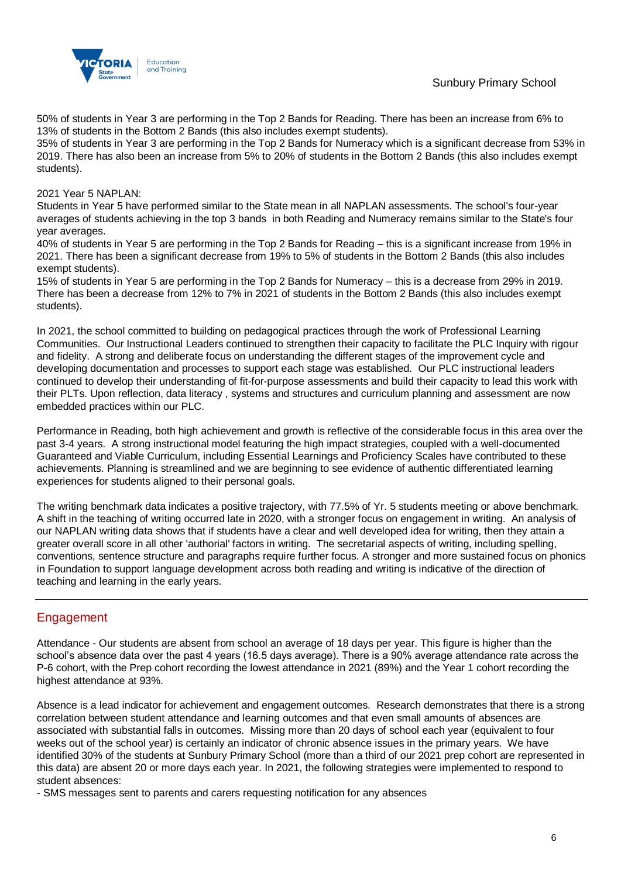Sunbury Primary School



50% of students in Year 3 are performing in the Top 2 Bands for Reading. There has been an increase from 6% to 13% of students in the Bottom 2 Bands (this also includes exempt students).

35% of students in Year 3 are performing in the Top 2 Bands for Numeracy which is a significant decrease from 53% in 2019. There has also been an increase from 5% to 20% of students in the Bottom 2 Bands (this also includes exempt students).

2021 Year 5 NAPLAN:

Students in Year 5 have performed similar to the State mean in all NAPLAN assessments. The school's four-year averages of students achieving in the top 3 bands in both Reading and Numeracy remains similar to the State's four year averages.

40% of students in Year 5 are performing in the Top 2 Bands for Reading – this is a significant increase from 19% in 2021. There has been a significant decrease from 19% to 5% of students in the Bottom 2 Bands (this also includes exempt students).

15% of students in Year 5 are performing in the Top 2 Bands for Numeracy – this is a decrease from 29% in 2019. There has been a decrease from 12% to 7% in 2021 of students in the Bottom 2 Bands (this also includes exempt students).

In 2021, the school committed to building on pedagogical practices through the work of Professional Learning Communities. Our Instructional Leaders continued to strengthen their capacity to facilitate the PLC Inquiry with rigour and fidelity. A strong and deliberate focus on understanding the different stages of the improvement cycle and developing documentation and processes to support each stage was established. Our PLC instructional leaders continued to develop their understanding of fit-for-purpose assessments and build their capacity to lead this work with their PLTs. Upon reflection, data literacy , systems and structures and curriculum planning and assessment are now embedded practices within our PLC.

Performance in Reading, both high achievement and growth is reflective of the considerable focus in this area over the past 3-4 years. A strong instructional model featuring the high impact strategies, coupled with a well-documented Guaranteed and Viable Curriculum, including Essential Learnings and Proficiency Scales have contributed to these achievements. Planning is streamlined and we are beginning to see evidence of authentic differentiated learning experiences for students aligned to their personal goals.

The writing benchmark data indicates a positive trajectory, with 77.5% of Yr. 5 students meeting or above benchmark. A shift in the teaching of writing occurred late in 2020, with a stronger focus on engagement in writing. An analysis of our NAPLAN writing data shows that if students have a clear and well developed idea for writing, then they attain a greater overall score in all other 'authorial' factors in writing. The secretarial aspects of writing, including spelling, conventions, sentence structure and paragraphs require further focus. A stronger and more sustained focus on phonics in Foundation to support language development across both reading and writing is indicative of the direction of teaching and learning in the early years.

## Engagement

Attendance - Our students are absent from school an average of 18 days per year. This figure is higher than the school's absence data over the past 4 years (16.5 days average). There is a 90% average attendance rate across the P-6 cohort, with the Prep cohort recording the lowest attendance in 2021 (89%) and the Year 1 cohort recording the highest attendance at 93%.

Absence is a lead indicator for achievement and engagement outcomes. Research demonstrates that there is a strong correlation between student attendance and learning outcomes and that even small amounts of absences are associated with substantial falls in outcomes. Missing more than 20 days of school each year (equivalent to four weeks out of the school year) is certainly an indicator of chronic absence issues in the primary years. We have identified 30% of the students at Sunbury Primary School (more than a third of our 2021 prep cohort are represented in this data) are absent 20 or more days each year. In 2021, the following strategies were implemented to respond to student absences:

- SMS messages sent to parents and carers requesting notification for any absences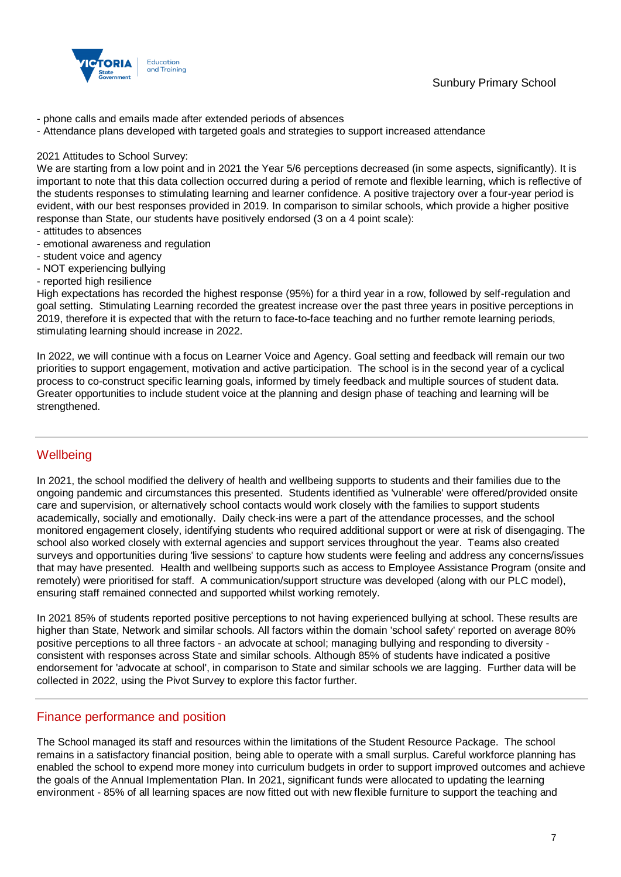

- phone calls and emails made after extended periods of absences
- Attendance plans developed with targeted goals and strategies to support increased attendance

### 2021 Attitudes to School Survey:

We are starting from a low point and in 2021 the Year 5/6 perceptions decreased (in some aspects, significantly). It is important to note that this data collection occurred during a period of remote and flexible learning, which is reflective of the students responses to stimulating learning and learner confidence. A positive trajectory over a four-year period is evident, with our best responses provided in 2019. In comparison to similar schools, which provide a higher positive response than State, our students have positively endorsed (3 on a 4 point scale):

- attitudes to absences
- emotional awareness and regulation
- student voice and agency
- NOT experiencing bullying
- reported high resilience

High expectations has recorded the highest response (95%) for a third year in a row, followed by self-regulation and goal setting. Stimulating Learning recorded the greatest increase over the past three years in positive perceptions in 2019, therefore it is expected that with the return to face-to-face teaching and no further remote learning periods, stimulating learning should increase in 2022.

In 2022, we will continue with a focus on Learner Voice and Agency. Goal setting and feedback will remain our two priorities to support engagement, motivation and active participation. The school is in the second year of a cyclical process to co-construct specific learning goals, informed by timely feedback and multiple sources of student data. Greater opportunities to include student voice at the planning and design phase of teaching and learning will be strengthened.

## **Wellbeing**

In 2021, the school modified the delivery of health and wellbeing supports to students and their families due to the ongoing pandemic and circumstances this presented. Students identified as 'vulnerable' were offered/provided onsite care and supervision, or alternatively school contacts would work closely with the families to support students academically, socially and emotionally. Daily check-ins were a part of the attendance processes, and the school monitored engagement closely, identifying students who required additional support or were at risk of disengaging. The school also worked closely with external agencies and support services throughout the year. Teams also created surveys and opportunities during 'live sessions' to capture how students were feeling and address any concerns/issues that may have presented. Health and wellbeing supports such as access to Employee Assistance Program (onsite and remotely) were prioritised for staff. A communication/support structure was developed (along with our PLC model), ensuring staff remained connected and supported whilst working remotely.

In 2021 85% of students reported positive perceptions to not having experienced bullying at school. These results are higher than State, Network and similar schools. All factors within the domain 'school safety' reported on average 80% positive perceptions to all three factors - an advocate at school; managing bullying and responding to diversity consistent with responses across State and similar schools. Although 85% of students have indicated a positive endorsement for 'advocate at school', in comparison to State and similar schools we are lagging. Further data will be collected in 2022, using the Pivot Survey to explore this factor further.

### Finance performance and position

The School managed its staff and resources within the limitations of the Student Resource Package. The school remains in a satisfactory financial position, being able to operate with a small surplus. Careful workforce planning has enabled the school to expend more money into curriculum budgets in order to support improved outcomes and achieve the goals of the Annual Implementation Plan. In 2021, significant funds were allocated to updating the learning environment - 85% of all learning spaces are now fitted out with new flexible furniture to support the teaching and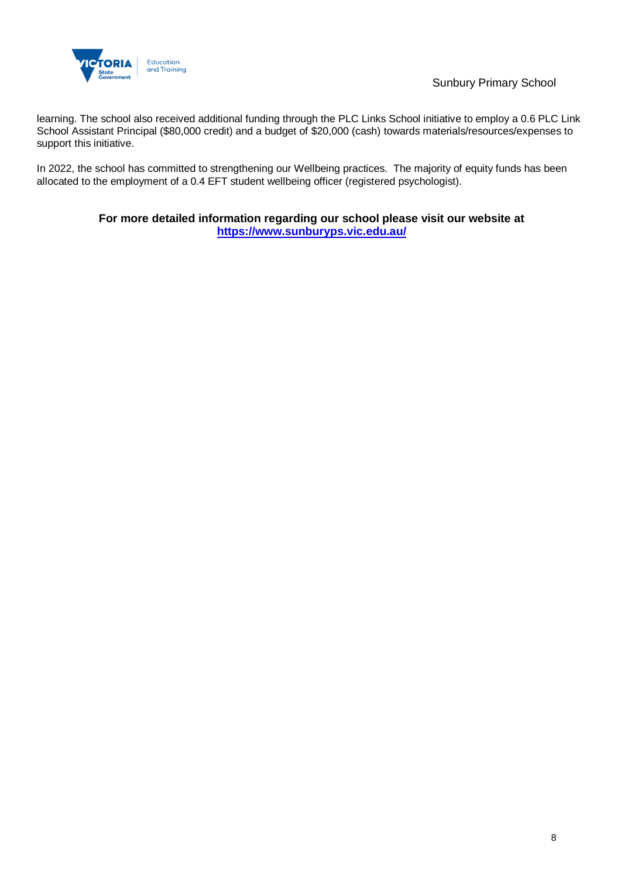

learning. The school also received additional funding through the PLC Links School initiative to employ a 0.6 PLC Link School Assistant Principal (\$80,000 credit) and a budget of \$20,000 (cash) towards materials/resources/expenses to support this initiative.

In 2022, the school has committed to strengthening our Wellbeing practices. The majority of equity funds has been allocated to the employment of a 0.4 EFT student wellbeing officer (registered psychologist).

### **For more detailed information regarding our school please visit our website at <https://www.sunburyps.vic.edu.au/>**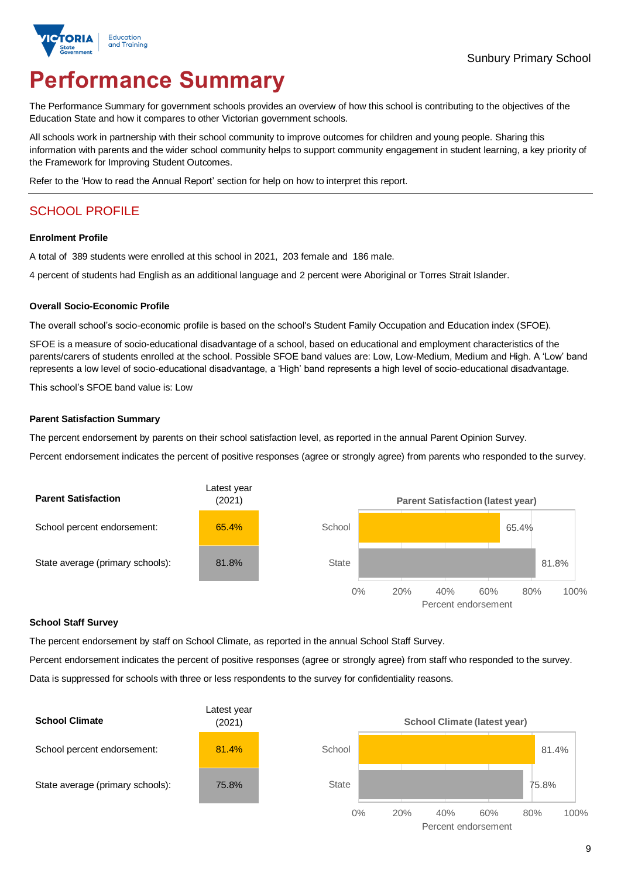

# **Performance Summary**

The Performance Summary for government schools provides an overview of how this school is contributing to the objectives of the Education State and how it compares to other Victorian government schools.

All schools work in partnership with their school community to improve outcomes for children and young people. Sharing this information with parents and the wider school community helps to support community engagement in student learning, a key priority of the Framework for Improving Student Outcomes.

Refer to the 'How to read the Annual Report' section for help on how to interpret this report.

## SCHOOL PROFILE

### **Enrolment Profile**

A total of 389 students were enrolled at this school in 2021, 203 female and 186 male.

4 percent of students had English as an additional language and 2 percent were Aboriginal or Torres Strait Islander.

### **Overall Socio-Economic Profile**

The overall school's socio-economic profile is based on the school's Student Family Occupation and Education index (SFOE).

SFOE is a measure of socio-educational disadvantage of a school, based on educational and employment characteristics of the parents/carers of students enrolled at the school. Possible SFOE band values are: Low, Low-Medium, Medium and High. A 'Low' band represents a low level of socio-educational disadvantage, a 'High' band represents a high level of socio-educational disadvantage.

This school's SFOE band value is: Low

### **Parent Satisfaction Summary**

The percent endorsement by parents on their school satisfaction level, as reported in the annual Parent Opinion Survey.

Percent endorsement indicates the percent of positive responses (agree or strongly agree) from parents who responded to the survey.



#### **School Staff Survey**

The percent endorsement by staff on School Climate, as reported in the annual School Staff Survey.

Percent endorsement indicates the percent of positive responses (agree or strongly agree) from staff who responded to the survey. Data is suppressed for schools with three or less respondents to the survey for confidentiality reasons.

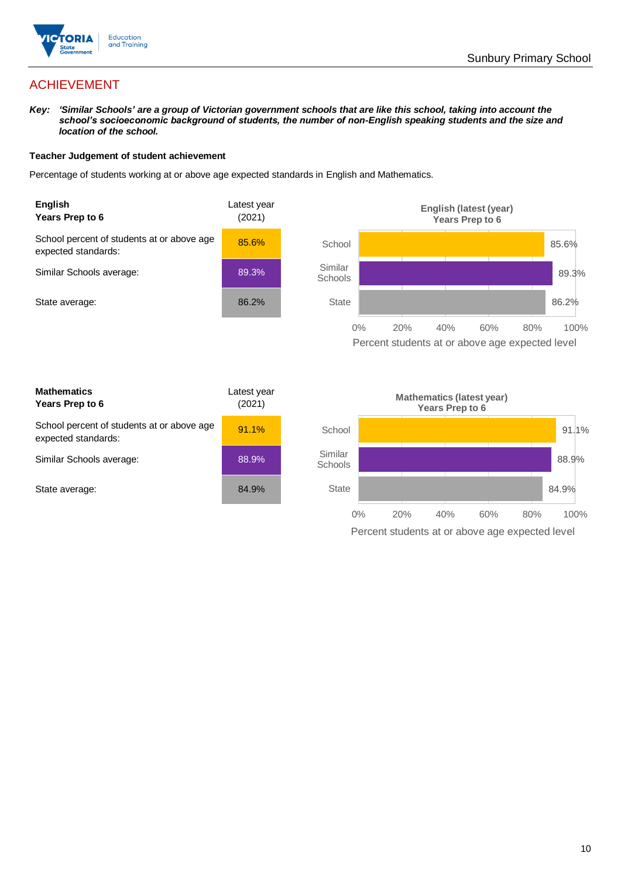

## ACHIEVEMENT

*Key: 'Similar Schools' are a group of Victorian government schools that are like this school, taking into account the school's socioeconomic background of students, the number of non-English speaking students and the size and location of the school.*

### **Teacher Judgement of student achievement**

Percentage of students working at or above age expected standards in English and Mathematics.





| <b>Mathematics</b><br>Years Prep to 6                             | Latest year<br>(2021) |
|-------------------------------------------------------------------|-----------------------|
| School percent of students at or above age<br>expected standards: | 91.1%                 |
| Similar Schools average:                                          | 88.9%                 |
| State average:                                                    | 84.9%                 |

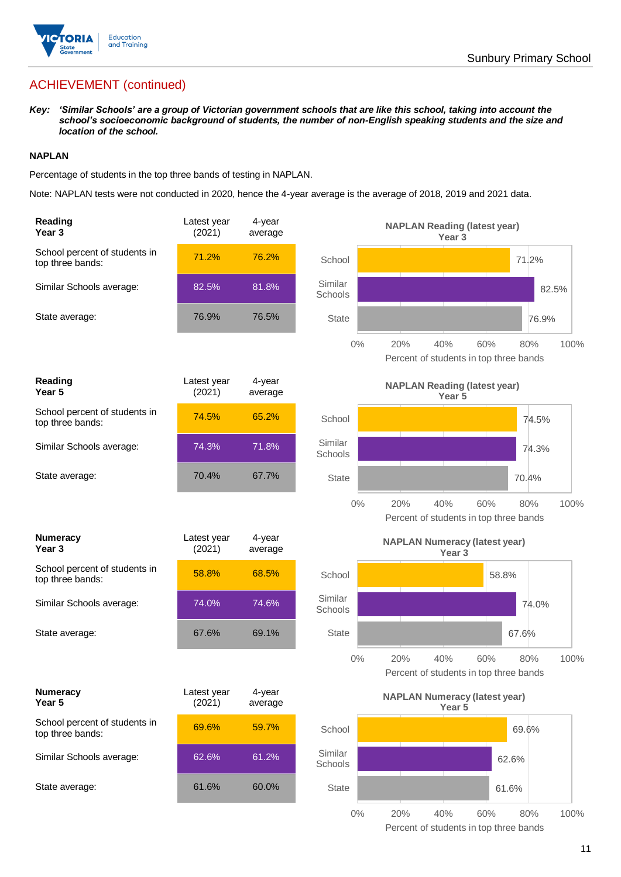

## ACHIEVEMENT (continued)

*Key: 'Similar Schools' are a group of Victorian government schools that are like this school, taking into account the school's socioeconomic background of students, the number of non-English speaking students and the size and location of the school.*

### **NAPLAN**

Percentage of students in the top three bands of testing in NAPLAN.

Note: NAPLAN tests were not conducted in 2020, hence the 4-year average is the average of 2018, 2019 and 2021 data.

| Reading<br>Year 3                                 | Latest year<br>(2021) | 4-year<br>average |                    | <b>NAPLAN Reading (latest year)</b><br>Year <sub>3</sub>                   |
|---------------------------------------------------|-----------------------|-------------------|--------------------|----------------------------------------------------------------------------|
| School percent of students in<br>top three bands: | 71.2%                 | 76.2%             | School             | 71.2%                                                                      |
| Similar Schools average:                          | 82.5%                 | 81.8%             | Similar<br>Schools | 82.5%                                                                      |
| State average:                                    | 76.9%                 | 76.5%             | <b>State</b>       | 76.9%                                                                      |
|                                                   |                       |                   | $0\%$              | 20%<br>40%<br>60%<br>100%<br>80%<br>Percent of students in top three bands |
| Reading<br>Year <sub>5</sub>                      | Latest year<br>(2021) | 4-year<br>average |                    | <b>NAPLAN Reading (latest year)</b><br>Year <sub>5</sub>                   |
| School percent of students in<br>top three bands: | 74.5%                 | 65.2%             | School             | 74.5%                                                                      |
| Similar Schools average:                          | 74.3%                 | 71.8%             | Similar<br>Schools | 74.3%                                                                      |
| State average:                                    | 70.4%                 | 67.7%             | <b>State</b>       | 70.4%                                                                      |
|                                                   |                       |                   | $0\%$              | 20%<br>40%<br>60%<br>80%<br>100%<br>Percent of students in top three bands |
| <b>Numeracy</b><br>Year <sub>3</sub>              | Latest year<br>(2021) | 4-year<br>average |                    | <b>NAPLAN Numeracy (latest year)</b><br>Year <sub>3</sub>                  |
| School percent of students in<br>top three bands: | 58.8%                 | 68.5%             | School             | 58.8%                                                                      |
| Similar Schools average:                          | 74.0%                 | 74.6%             | Similar<br>Schools | 74.0%                                                                      |
| State average:                                    | 67.6%                 | 69.1%             | <b>State</b>       | 67.6%                                                                      |
|                                                   |                       |                   | $0\%$              | 20%<br>40%<br>60%<br>80%<br>100%<br>Percent of students in top three bands |
| <b>Numeracy</b><br>Year 5                         | Latest year<br>(2021) | 4-year<br>average |                    | <b>NAPLAN Numeracy (latest year)</b><br>Year 5                             |
| School percent of students in<br>top three bands: | 69.6%                 | 59.7%             | School             | 69.6%                                                                      |
| Similar Schools average:                          | 62.6%                 | 61.2%             | Similar<br>Schools | 62.6%                                                                      |
| State average:                                    | 61.6%                 | 60.0%             | <b>State</b>       | 61.6%                                                                      |
|                                                   |                       |                   | $0\%$              | 20%<br>40%<br>60%<br>80%<br>100%                                           |

11

Percent of students in top three bands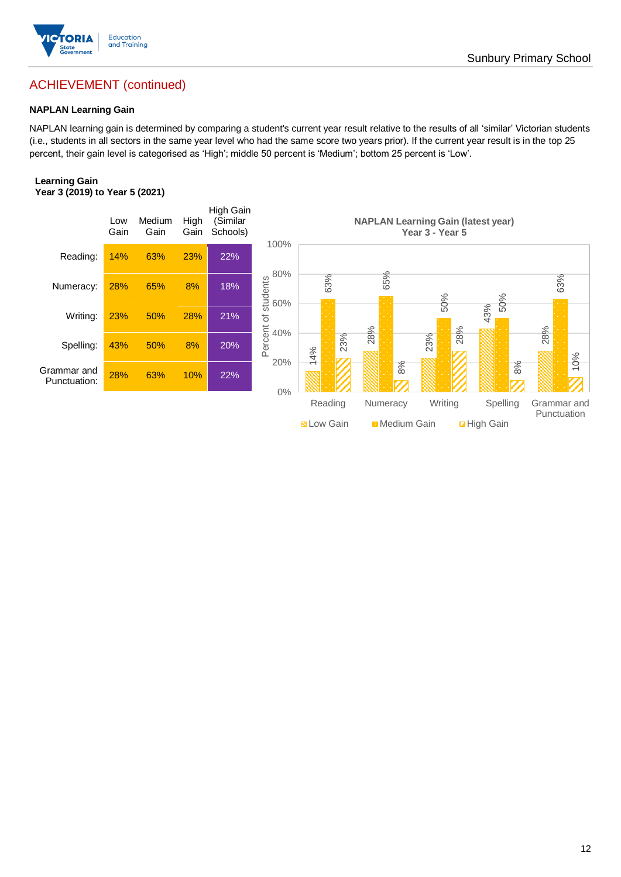

## ACHIEVEMENT (continued)

### **NAPLAN Learning Gain**

NAPLAN learning gain is determined by comparing a student's current year result relative to the results of all 'similar' Victorian students (i.e., students in all sectors in the same year level who had the same score two years prior). If the current year result is in the top 25 percent, their gain level is categorised as 'High'; middle 50 percent is 'Medium'; bottom 25 percent is 'Low'.

### **Learning Gain Year 3 (2019) to Year 5 (2021)**

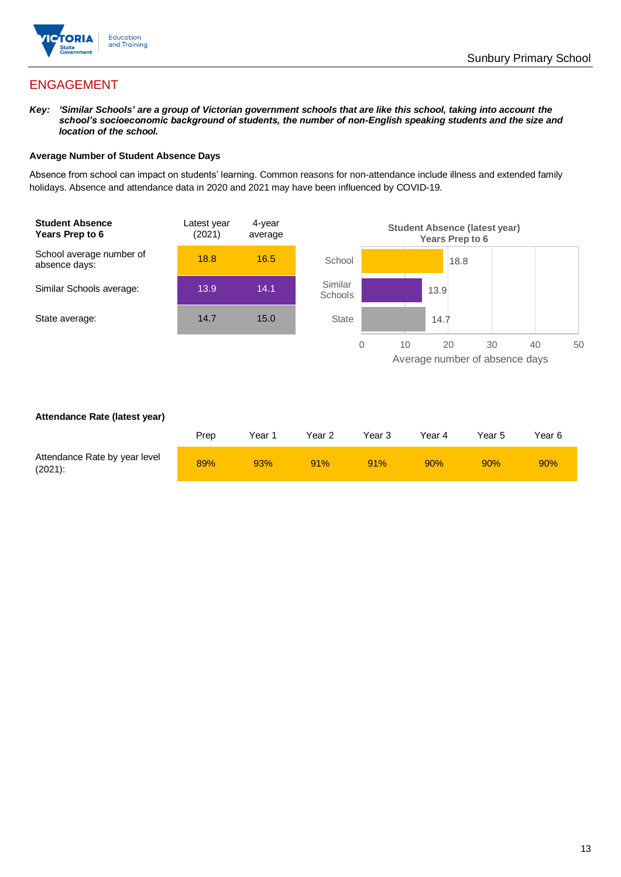

## ENGAGEMENT

*Key: 'Similar Schools' are a group of Victorian government schools that are like this school, taking into account the school's socioeconomic background of students, the number of non-English speaking students and the size and location of the school.*

### **Average Number of Student Absence Days**

Absence from school can impact on students' learning. Common reasons for non-attendance include illness and extended family holidays. Absence and attendance data in 2020 and 2021 may have been influenced by COVID-19.



### **Attendance Rate (latest year)**

|                                             | Prep | Year 1 | Year 2 | Year 3 | Year 4 | Year 5 | Year 6 |
|---------------------------------------------|------|--------|--------|--------|--------|--------|--------|
| Attendance Rate by year level<br>$(2021)$ : | 89%  | 93%    | 91%    | 91%    | 90%    | 90%    | 90%    |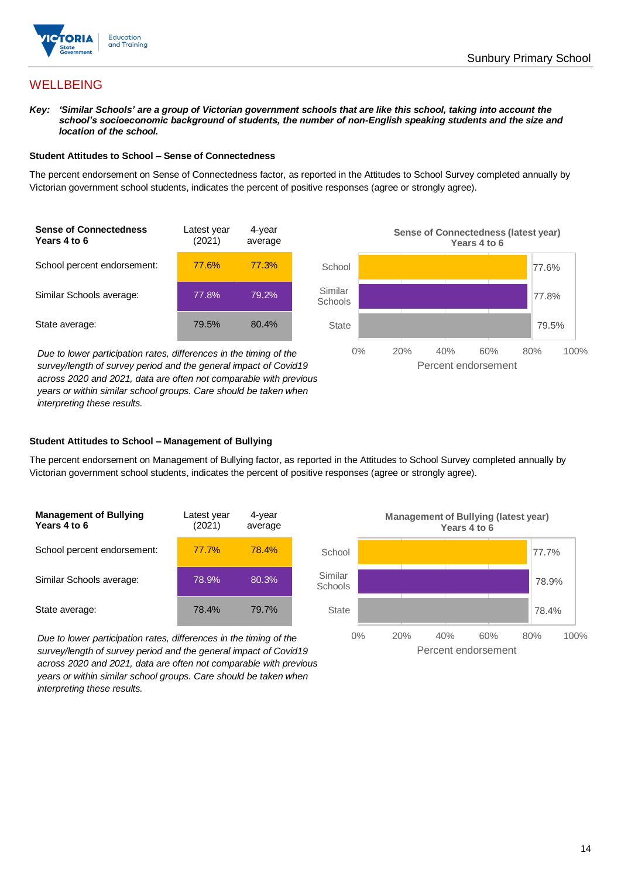

## **WELLBEING**

*Key: 'Similar Schools' are a group of Victorian government schools that are like this school, taking into account the*  school's socioeconomic background of students, the number of non-English speaking students and the size and *location of the school.*

### **Student Attitudes to School – Sense of Connectedness**

The percent endorsement on Sense of Connectedness factor, as reported in the Attitudes to School Survey completed annually by Victorian government school students, indicates the percent of positive responses (agree or strongly agree).



*Due to lower participation rates, differences in the timing of the survey/length of survey period and the general impact of Covid19 across 2020 and 2021, data are often not comparable with previous years or within similar school groups. Care should be taken when interpreting these results.*



### **Student Attitudes to School – Management of Bullying**

The percent endorsement on Management of Bullying factor, as reported in the Attitudes to School Survey completed annually by Victorian government school students, indicates the percent of positive responses (agree or strongly agree).

| <b>Management of Bullying</b><br>Years 4 to 6 | Latest year<br>(2021) | 4-year<br>average |  |
|-----------------------------------------------|-----------------------|-------------------|--|
| School percent endorsement:                   | 77.7%                 | 78.4%             |  |
| Similar Schools average:                      | 78.9%                 | 80.3%             |  |
| State average:                                | 78.4%                 | 79.7%             |  |

*Due to lower participation rates, differences in the timing of the survey/length of survey period and the general impact of Covid19 across 2020 and 2021, data are often not comparable with previous years or within similar school groups. Care should be taken when interpreting these results.*

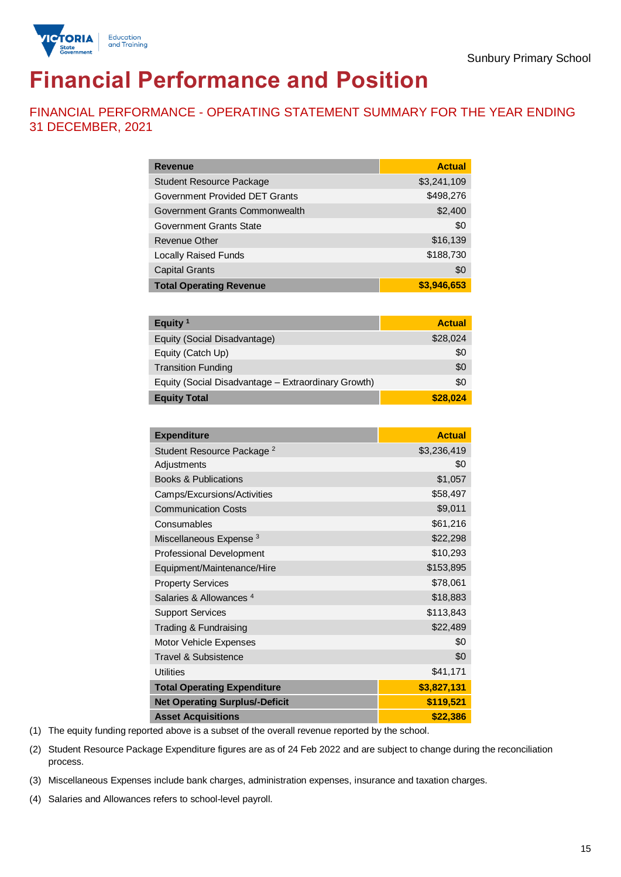

# **Financial Performance and Position**

FINANCIAL PERFORMANCE - OPERATING STATEMENT SUMMARY FOR THE YEAR ENDING 31 DECEMBER, 2021

| <b>Revenue</b>                  | <b>Actual</b> |
|---------------------------------|---------------|
| <b>Student Resource Package</b> | \$3,241,109   |
| Government Provided DET Grants  | \$498,276     |
| Government Grants Commonwealth  | \$2,400       |
| <b>Government Grants State</b>  | \$0           |
| <b>Revenue Other</b>            | \$16,139      |
| <b>Locally Raised Funds</b>     | \$188,730     |
| <b>Capital Grants</b>           | \$0           |
| <b>Total Operating Revenue</b>  | \$3,946,653   |

| Equity <sup>1</sup>                                 | <b>Actual</b> |
|-----------------------------------------------------|---------------|
| Equity (Social Disadvantage)                        | \$28,024      |
| Equity (Catch Up)                                   | \$0           |
| <b>Transition Funding</b>                           | \$0           |
| Equity (Social Disadvantage – Extraordinary Growth) | \$0           |
| <b>Equity Total</b>                                 | \$28,024      |

| <b>Expenditure</b>                    | <b>Actual</b> |
|---------------------------------------|---------------|
| Student Resource Package <sup>2</sup> | \$3,236,419   |
| Adjustments                           | \$0           |
| <b>Books &amp; Publications</b>       | \$1,057       |
| Camps/Excursions/Activities           | \$58,497      |
| <b>Communication Costs</b>            | \$9,011       |
| Consumables                           | \$61,216      |
| Miscellaneous Expense <sup>3</sup>    | \$22,298      |
| <b>Professional Development</b>       | \$10,293      |
| Equipment/Maintenance/Hire            | \$153,895     |
| <b>Property Services</b>              | \$78,061      |
| Salaries & Allowances <sup>4</sup>    | \$18,883      |
| <b>Support Services</b>               | \$113,843     |
| Trading & Fundraising                 | \$22,489      |
| Motor Vehicle Expenses                | \$0           |
| <b>Travel &amp; Subsistence</b>       | \$0           |
| <b>Utilities</b>                      | \$41,171      |
| <b>Total Operating Expenditure</b>    | \$3,827,131   |
| <b>Net Operating Surplus/-Deficit</b> | \$119,521     |
| <b>Asset Acquisitions</b>             | \$22,386      |

(1) The equity funding reported above is a subset of the overall revenue reported by the school.

(2) Student Resource Package Expenditure figures are as of 24 Feb 2022 and are subject to change during the reconciliation process.

(3) Miscellaneous Expenses include bank charges, administration expenses, insurance and taxation charges.

(4) Salaries and Allowances refers to school-level payroll.